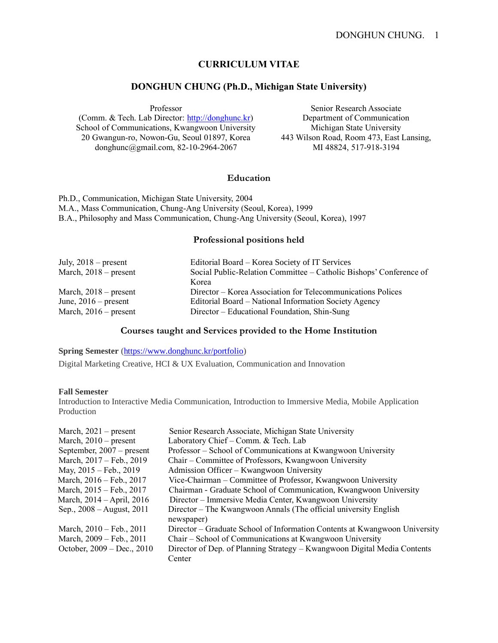# **CURRICULUM VITAE**

## **DONGHUN CHUNG (Ph.D., Michigan State University)**

Professor (Comm. & Tech. Lab Director[: http://donghunc.kr\)](http://donghunc.kr/) School of Communications, Kwangwoon University 20 Gwangun-ro, Nowon-Gu, Seoul 01897, Korea donghunc@gmail.com, 82-10-2964-2067

Senior Research Associate Department of Communication Michigan State University 443 Wilson Road, Room 473, East Lansing, MI 48824, 517-918-3194

#### **Education**

Ph.D., Communication, Michigan State University, 2004 M.A., Mass Communication, Chung-Ang University (Seoul, Korea), 1999 B.A., Philosophy and Mass Communication, Chung-Ang University (Seoul, Korea), 1997

#### **Professional positions held**

| July, $2018$ – present  | Editorial Board – Korea Society of IT Services                     |
|-------------------------|--------------------------------------------------------------------|
| March, $2018$ – present | Social Public-Relation Committee – Catholic Bishops' Conference of |
|                         | Korea                                                              |
| March, $2018$ – present | Director – Korea Association for Telecommunications Polices        |
| June, $2016$ – present  | Editorial Board – National Information Society Agency              |
| March, $2016$ – present | Director – Educational Foundation, Shin-Sung                       |

### **Courses taught and Services provided to the Home Institution**

**Spring Semester** [\(https://www.donghunc.kr/portfolio\)](https://www.donghunc.kr/portfolio)

Digital Marketing Creative, HCI & UX Evaluation, Communication and Innovation

#### **Fall Semester**

Introduction to Interactive Media Communication, Introduction to Immersive Media, Mobile Application Production

| March, $2021$ – present     | Senior Research Associate, Michigan State University                       |
|-----------------------------|----------------------------------------------------------------------------|
| March, $2010$ – present     | Laboratory Chief - Comm. & Tech. Lab                                       |
| September, $2007$ – present | Professor – School of Communications at Kwangwoon University               |
| March, 2017 – Feb., 2019    | Chair – Committee of Professors, Kwangwoon University                      |
| May, 2015 – Feb., 2019      | Admission Officer – Kwangwoon University                                   |
| March, 2016 – Feb., 2017    | Vice-Chairman – Committee of Professor, Kwangwoon University               |
| March, 2015 – Feb., 2017    | Chairman - Graduate School of Communication, Kwangwoon University          |
| March, 2014 – April, 2016   | Director - Immersive Media Center, Kwangwoon University                    |
| Sep., 2008 – August, 2011   | Director – The Kwangwoon Annals (The official university English           |
|                             | newspaper)                                                                 |
| March, 2010 – Feb., 2011    | Director – Graduate School of Information Contents at Kwangwoon University |
| March, 2009 – Feb., 2011    | Chair - School of Communications at Kwangwoon University                   |
| October, 2009 – Dec., 2010  | Director of Dep. of Planning Strategy – Kwangwoon Digital Media Contents   |
|                             | Center                                                                     |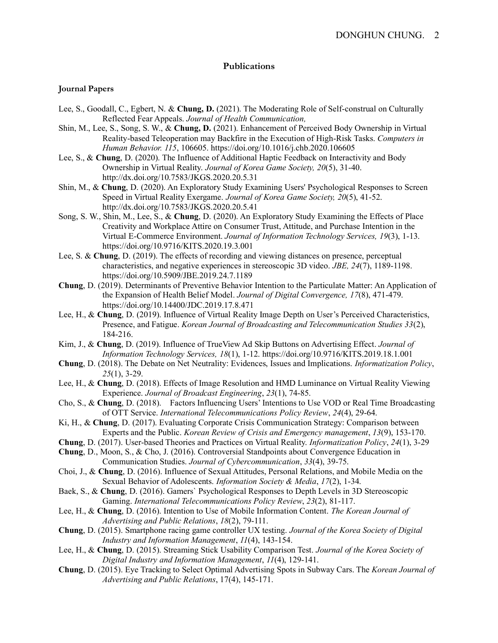## **Publications**

#### **Journal Papers**

- Lee, S., Goodall, C., Egbert, N. & **Chung, D.** (2021). The Moderating Role of Self-construal on Culturally Reflected Fear Appeals. *Journal of Health Communication,*
- Shin, M., Lee, S., Song, S. W., & **Chung, D.** (2021). Enhancement of Perceived Body Ownership in Virtual Reality-based Teleoperation may Backfire in the Execution of High-Risk Tasks. *Computers in Human Behavior. 115*, 106605. https://doi.org/10.1016/j.chb.2020.106605
- Lee, S., & **Chung**, D. (2020). The Influence of Additional Haptic Feedback on Interactivity and Body Ownership in Virtual Reality. *Journal of Korea Game Society, 20*(5), 31-40. http://dx.doi.org/10.7583/JKGS.2020.20.5.31
- Shin, M., & **Chung**, D. (2020). An Exploratory Study Examining Users' Psychological Responses to Screen Speed in Virtual Reality Exergame. *Journal of Korea Game Society, 20*(5), 41-52. http://dx.doi.org/10.7583/JKGS.2020.20.5.41
- Song, S. W., Shin, M., Lee, S., & **Chung**, D. (2020). An Exploratory Study Examining the Effects of Place Creativity and Workplace Attire on Consumer Trust, Attitude, and Purchase Intention in the Virtual E-Commerce Environment. *Journal of Information Technology Services, 19*(3), 1-13. https://doi.org/10.9716/KITS.2020.19.3.001
- Lee, S. & **Chung**, D. (2019). The effects of recording and viewing distances on presence, perceptual characteristics, and negative experiences in stereoscopic 3D video. *JBE, 24*(7), 1189-1198. https://doi.org/10.5909/JBE.2019.24.7.1189
- **Chung**, D. (2019). Determinants of Preventive Behavior Intention to the Particulate Matter: An Application of the Expansion of Health Belief Model. *Journal of Digital Convergence, 17*(8), 471-479. https://doi.org/10.14400/JDC.2019.17.8.471
- Lee, H., & **Chung**, D. (2019). Influence of Virtual Reality Image Depth on User's Perceived Characteristics, Presence, and Fatigue. *Korean Journal of Broadcasting and Telecommunication Studies 33*(2), 184-216.
- Kim, J., & **Chung**, D. (2019). Influence of TrueView Ad Skip Buttons on Advertising Effect. *Journal of Information Technology Services, 18*(1), 1-12. https://doi.org/10.9716/KITS.2019.18.1.001
- **Chung**, D. (2018). The Debate on Net Neutrality: Evidences, Issues and Implications. *Informatization Policy*, *25*(1), 3-29.
- Lee, H., & **Chung**, D. (2018). Effects of Image Resolution and HMD Luminance on Virtual Reality Viewing Experience. *Journal of Broadcast Engineering*, *23*(1), 74-85.
- Cho, S., & **Chung**, D. (2018). Factors Influencing Users' Intentions to Use VOD or Real Time Broadcasting of OTT Service. *International Telecommunications Policy Review*, *24*(4), 29-64.
- Ki, H., & **Chung**, D. (2017). Evaluating Corporate Crisis Communication Strategy: Comparison between Experts and the Public. *Korean Review of Crisis and Emergency management*, *13*(9), 153-170.
- **Chung**, D. (2017). User-based Theories and Practices on Virtual Reality. *Informatization Policy*, *24*(1), 3-29
- **Chung**, D., Moon, S., & Cho, J. (2016). Controversial Standpoints about Convergence Education in Communication Studies. *Journal of Cybercommunication*, *33*(4), 39-75.
- Choi, J., & **Chung**, D. (2016). Influence of Sexual Attitudes, Personal Relations, and Mobile Media on the Sexual Behavior of Adolescents. *Information Society & Media*, *17*(2), 1-34.
- Baek, S., & **Chung**, D. (2016). Gamers` Psychological Responses to Depth Levels in 3D Stereoscopic Gaming. *International Telecommunications Policy Review*, *23*(2), 81-117.
- Lee, H., & **Chung**, D. (2016). Intention to Use of Mobile Information Content. *The Korean Journal of Advertising and Public Relations*, *18*(2), 79-111.
- **Chung**, D. (2015). Smartphone racing game controller UX testing. *Journal of the Korea Society of Digital Industry and Information Management*, *11*(4), 143-154.
- Lee, H., & **Chung**, D. (2015). Streaming Stick Usability Comparison Test. *Journal of the Korea Society of Digital Industry and Information Management*, *11*(4), 129-141.
- **Chung**, D. (2015). Eye Tracking to Select Optimal Advertising Spots in Subway Cars. The *Korean Journal of Advertising and Public Relations*, 17(4), 145-171.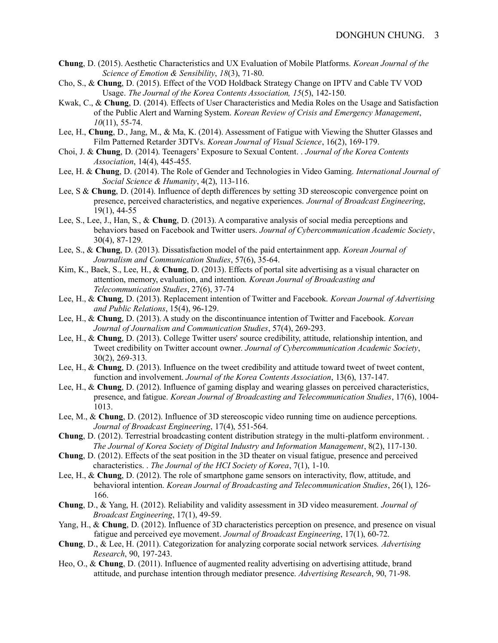- **Chung**, D. (2015). Aesthetic Characteristics and UX Evaluation of Mobile Platforms. *Korean Journal of the Science of Emotion & Sensibility*, *18*(3), 71-80.
- Cho, S., & **Chung**, D. (2015). Effect of the VOD Holdback Strategy Change on IPTV and Cable TV VOD Usage. *The Journal of the Korea Contents Association, 15*(5), 142-150.
- Kwak, C., & **Chung**, D. (2014). Effects of User Characteristics and Media Roles on the Usage and Satisfaction of the Public Alert and Warning System. *Korean Review of Crisis and Emergency Management*, *10*(11), 55-74.
- Lee, H., **Chung**, D., Jang, M., & Ma, K. (2014). Assessment of Fatigue with Viewing the Shutter Glasses and Film Patterned Retarder 3DTVs. *Korean Journal of Visual Science*, 16(2), 169-179.
- Choi, J. & **Chung**, D. (2014). Teenagers' Exposure to Sexual Content. . *Journal of the Korea Contents Association*, 14(4), 445-455.
- Lee, H. & **Chung**, D. (2014). The Role of Gender and Technologies in Video Gaming. *International Journal of Social Science & Humanity*, 4(2), 113-116.
- Lee, S & **Chung**, D. (2014). Influence of depth differences by setting 3D stereoscopic convergence point on presence, perceived characteristics, and negative experiences. *Journal of Broadcast Engineering*, 19(1), 44-55
- Lee, S., Lee, J., Han, S., & **Chung**, D. (2013). A comparative analysis of social media perceptions and behaviors based on Facebook and Twitter users. *Journal of Cybercommunication Academic Society*, 30(4), 87-129.
- Lee, S., & **Chung**, D. (2013). Dissatisfaction model of the paid entertainment app. *Korean Journal of Journalism and Communication Studies*, 57(6), 35-64.
- Kim, K., Baek, S., Lee, H., & **Chung**, D. (2013). Effects of portal site advertising as a visual character on attention, memory, evaluation, and intention. *Korean Journal of Broadcasting and Telecommunication Studies*, 27(6), 37-74
- Lee, H., & **Chung**, D. (2013). Replacement intention of Twitter and Facebook. *Korean Journal of Advertising and Public Relations*, 15(4), 96-129.
- Lee, H., & **Chung**, D. (2013). A study on the discontinuance intention of Twitter and Facebook. *Korean Journal of Journalism and Communication Studies*, 57(4), 269-293.
- Lee, H., & **Chung**, D. (2013). College Twitter users' source credibility, attitude, relationship intention, and Tweet credibility on Twitter account owner. *Journal of Cybercommunication Academic Society*, 30(2), 269-313.
- Lee, H., & **Chung**, D. (2013). Influence on the tweet credibility and attitude toward tweet of tweet content, function and involvement. *Journal of the Korea Contents Association*, 13(6), 137-147.
- Lee, H., & **Chung**, D. (2012). Influence of gaming display and wearing glasses on perceived characteristics, presence, and fatigue. *Korean Journal of Broadcasting and Telecommunication Studies*, 17(6), 1004- 1013.
- Lee, M., & **Chung**, D. (2012). Influence of 3D stereoscopic video running time on audience perceptions. *Journal of Broadcast Engineering*, 17(4), 551-564.
- **Chung**, D. (2012). Terrestrial broadcasting content distribution strategy in the multi-platform environment. . *The Journal of Korea Society of Digital Industry and Information Management*, 8(2), 117-130.
- **Chung**, D. (2012). Effects of the seat position in the 3D theater on visual fatigue, presence and perceived characteristics. . *The Journal of the HCI Society of Korea*, 7(1), 1-10.
- Lee, H., & **Chung**, D. (2012). The role of smartphone game sensors on interactivity, flow, attitude, and behavioral intention. *Korean Journal of Broadcasting and Telecommunication Studies*, 26(1), 126- 166.
- **Chung**, D., & Yang, H. (2012). Reliability and validity assessment in 3D video measurement. *Journal of Broadcast Engineering*, 17(1), 49-59.
- Yang, H., & **Chung**, D. (2012). Influence of 3D characteristics perception on presence, and presence on visual fatigue and perceived eye movement. *Journal of Broadcast Engineering*, 17(1), 60-72.
- **Chung**, D., & Lee, H. (2011). Categorization for analyzing corporate social network services. *Advertising Research*, 90, 197-243.
- Heo, O., & **Chung**, D. (2011). Influence of augmented reality advertising on advertising attitude, brand attitude, and purchase intention through mediator presence. *Advertising Research*, 90, 71-98.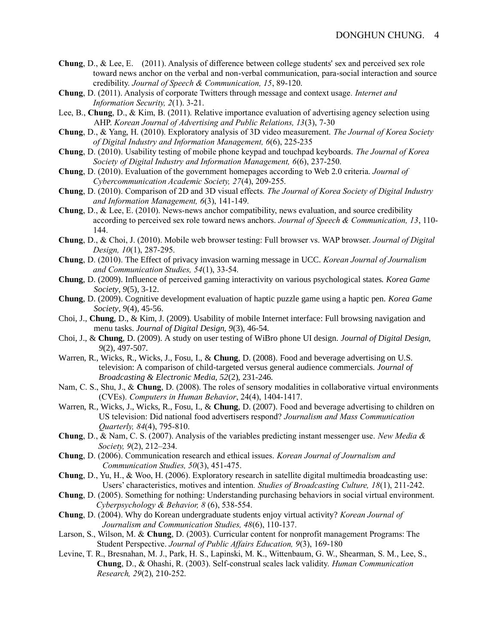- **Chung**, D., & Lee, E. (2011). Analysis of difference between college students' sex and perceived sex role toward news anchor on the verbal and non-verbal communication, para-social interaction and source credibility. *Journal of Speech & Communication, 15*, 89-120.
- **Chung**, D. (2011). Analysis of corporate Twitters through message and context usage*. Internet and Information Security, 2*(1). 3-21.
- Lee, B., **Chung**, D., & Kim, B. (2011). Relative importance evaluation of advertising agency selection using AHP. *Korean Journal of Advertising and Public Relations, 13*(3), 7-30
- **Chung**, D., & Yang, H. (2010). Exploratory analysis of 3D video measurement. *The Journal of Korea Society of Digital Industry and Information Management, 6*(6), 225-235
- **Chung**, D. (2010). Usability testing of mobile phone keypad and touchpad keyboards. *The Journal of Korea Society of Digital Industry and Information Management, 6*(6), 237-250.
- **Chung**, D. (2010). Evaluation of the government homepages according to Web 2.0 criteria. *Journal of Cybercommunication Academic Society, 27*(4), 209-255.
- **Chung**, D. (2010). Comparison of 2D and 3D visual effects*. The Journal of Korea Society of Digital Industry and Information Management, 6*(3), 141-149.
- **Chung**, D., & Lee, E. (2010). News-news anchor compatibility, news evaluation, and source credibility according to perceived sex role toward news anchors. *Journal of Speech & Communication, 13*, 110- 144.
- **Chung**, D., & Choi, J. (2010). Mobile web browser testing: Full browser vs. WAP browser. *Journal of Digital Design, 10*(1), 287-295.
- **Chung**, D. (2010). The Effect of privacy invasion warning message in UCC. *Korean Journal of Journalism and Communication Studies, 54*(1), 33-54.
- **Chung**, D. (2009). Influence of perceived gaming interactivity on various psychological states. *Korea Game Society, 9*(5), 3-12.
- **Chung**, D. (2009). Cognitive development evaluation of haptic puzzle game using a haptic pen. *Korea Game Society, 9*(4), 45-56.
- Choi, J., **Chung**, D., & Kim, J. (2009). Usability of mobile Internet interface: Full browsing navigation and menu tasks. *Journal of Digital Design, 9*(3), 46-54.
- Choi, J., & **Chung**, D. (2009). A study on user testing of WiBro phone UI design. *Journal of Digital Design, 9*(2), 497-507.
- Warren, R., Wicks, R., Wicks, J., Fosu, I., & **Chung**, D. (2008). Food and beverage advertising on U.S. television: A comparison of child-targeted versus general audience commercials. *Journal of Broadcasting & Electronic Media, 52*(2), 231-246.
- Nam, C. S., Shu, J., & **Chung**, D. (2008). The roles of sensory modalities in collaborative virtual environments (CVEs). *Computers in Human Behavior*, 24(4), 1404-1417.
- Warren, R., Wicks, J., Wicks, R., Fosu, I., & **Chung**, D. (2007). Food and beverage advertising to children on US television: Did national food advertisers respond? *Journalism and Mass Communication Quarterly, 84*(4), 795-810.
- **Chung**, D., & Nam, C. S. (2007). Analysis of the variables predicting instant messenger use. *New Media & Society, 9*(2), 212–234.
- **Chung**, D. (2006). Communication research and ethical issues. *Korean Journal of Journalism and Communication Studies, 50*(3), 451-475.
- **Chung**, D., Yu, H., & Woo, H. (2006). Exploratory research in satellite digital multimedia broadcasting use: Users' characteristics, motives and intention*. Studies of Broadcasting Culture, 18*(1), 211-242.
- **Chung**, D. (2005). Something for nothing: Understanding purchasing behaviors in social virtual environment. *Cyberpsychology & Behavior, 8* (6), 538-554.
- **Chung**, D. (2004). Why do Korean undergraduate students enjoy virtual activity? *Korean Journal of Journalism and Communication Studies, 48*(6), 110-137.
- Larson, S., Wilson, M. & **Chung**, D. (2003). Curricular content for nonprofit management Programs: The Student Perspective. *Journal of Public Affairs Education, 9*(3), 169-180
- Levine, T. R., Bresnahan, M. J., Park, H. S., Lapinski, M. K., Wittenbaum, G. W., Shearman, S. M., Lee, S., **Chung**, D., & Ohashi, R. (2003). Self-construal scales lack validity. *Human Communication Research, 29*(2), 210-252.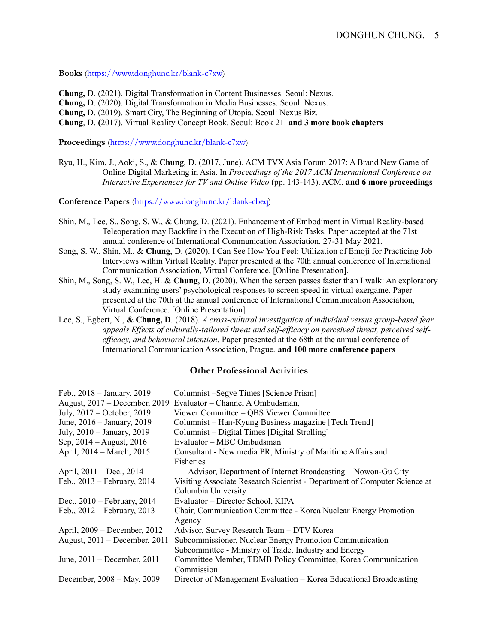**Books** [\(https://www.donghunc.kr/blank-c7xw\)](https://www.donghunc.kr/blank-c7xw)

**Chung,** D. (2021). Digital Transformation in Content Businesses. Seoul: Nexus. **Chung,** D. (2020). Digital Transformation in Media Businesses. Seoul: Nexus. **Chung,** D. (2019). Smart City, The Beginning of Utopia. Seoul: Nexus Biz. **Chung**, D. **(**2017). Virtual Reality Concept Book. Seoul: Book 21. **and 3 more book chapters**

**Proceedings** [\(https://www.donghunc.kr/blank-c7xw\)](https://www.donghunc.kr/blank-c7xw)

Ryu, H., Kim, J., Aoki, S., & **Chung**, D. (2017, June). ACM TVX Asia Forum 2017: A Brand New Game of Online Digital Marketing in Asia. In *Proceedings of the 2017 ACM International Conference on Interactive Experiences for TV and Online Video* (pp. 143-143). ACM. **and 6 more proceedings**

**Conference Papers** [\(https://www.donghunc.kr/blank-cbeq\)](https://www.donghunc.kr/blank-cbeq)

- Shin, M., Lee, S., Song, S. W., & Chung, D. (2021). Enhancement of Embodiment in Virtual Reality-based Teleoperation may Backfire in the Execution of High-Risk Tasks. Paper accepted at the 71st annual conference of International Communication Association. 27-31 May 2021.
- Song, S. W., Shin, M., & **Chung**, D. (2020). I Can See How You Feel: Utilization of Emoji for Practicing Job Interviews within Virtual Reality. Paper presented at the 70th annual conference of International Communication Association, Virtual Conference. [Online Presentation].
- Shin, M., Song, S. W., Lee, H. & **Chung**, D. (2020). When the screen passes faster than I walk: An exploratory study examining users' psychological responses to screen speed in virtual exergame. Paper presented at the 70th at the annual conference of International Communication Association, Virtual Conference. [Online Presentation].
- Lee, S., Egbert, N., **& Chung, D**. (2018). *A cross-cultural investigation of individual versus group-based fear appeals Effects of culturally-tailored threat and self-efficacy on perceived threat, perceived selfefficacy, and behavioral intention*. Paper presented at the 68th at the annual conference of International Communication Association, Prague. **and 100 more conference papers**

#### **Other Professional Activities**

| Feb., 2018 - January, 2019        | Columnist – Segye Times [Science Prism]                                   |
|-----------------------------------|---------------------------------------------------------------------------|
| August, 2017 – December, 2019     | Evaluator – Channel A Ombudsman,                                          |
| July, 2017 – October, 2019        | Viewer Committee – QBS Viewer Committee                                   |
| June, 2016 – January, 2019        | Columnist – Han-Kyung Business magazine [Tech Trend]                      |
| July, 2010 - January, 2019        | Columnist – Digital Times [Digital Strolling]                             |
| Sep, $2014 -$ August, $2016$      | Evaluator – MBC Ombudsman                                                 |
| April, 2014 – March, 2015         | Consultant - New media PR, Ministry of Maritime Affairs and               |
|                                   | Fisheries                                                                 |
| April, 2011 – Dec., 2014          | Advisor, Department of Internet Broadcasting – Nowon-Gu City              |
| Feb., 2013 – February, 2014       | Visiting Associate Research Scientist - Department of Computer Science at |
|                                   | Columbia University                                                       |
| Dec., $2010$ – February, $2014$   | Evaluator – Director School, KIPA                                         |
| Feb., 2012 – February, 2013       | Chair, Communication Committee - Korea Nuclear Energy Promotion           |
|                                   | Agency                                                                    |
| April, 2009 – December, 2012      | Advisor, Survey Research Team - DTV Korea                                 |
| August, $2011$ – December, $2011$ | Subcommissioner, Nuclear Energy Promotion Communication                   |
|                                   | Subcommittee - Ministry of Trade, Industry and Energy                     |
| June, $2011$ – December, $2011$   | Committee Member, TDMB Policy Committee, Korea Communication              |
|                                   | Commission                                                                |
| December, 2008 – May, 2009        | Director of Management Evaluation – Korea Educational Broadcasting        |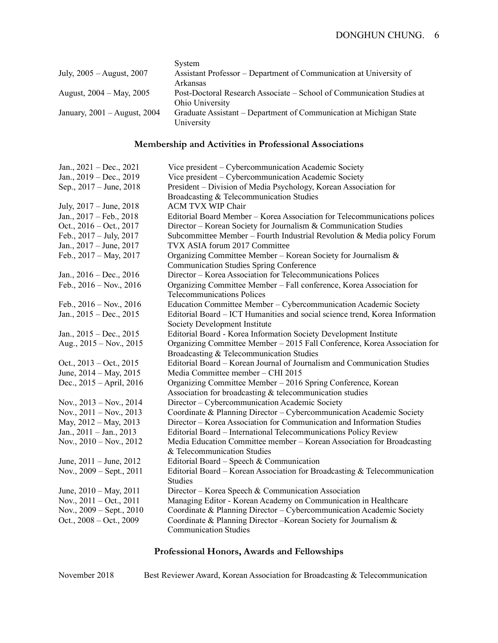|                                  | System                                                                                   |
|----------------------------------|------------------------------------------------------------------------------------------|
| July, 2005 – August, 2007        | Assistant Professor – Department of Communication at University of<br>Arkansas           |
| August, 2004 – May, 2005         | Post-Doctoral Research Associate – School of Communication Studies at<br>Ohio University |
| January, $2001 -$ August, $2004$ | Graduate Assistant – Department of Communication at Michigan State<br>University         |

# **Membership and Activities in Professional Associations**

| Jan., $2021 - Dec., 2021$     | Vice president – Cybercommunication Academic Society                         |
|-------------------------------|------------------------------------------------------------------------------|
| Jan., 2019 - Dec., 2019       | Vice president - Cybercommunication Academic Society                         |
| Sep., 2017 – June, 2018       | President – Division of Media Psychology, Korean Association for             |
|                               | Broadcasting & Telecommunication Studies                                     |
| July, 2017 – June, 2018       | <b>ACM TVX WIP Chair</b>                                                     |
| Jan., 2017 - Feb., 2018       | Editorial Board Member – Korea Association for Telecommunications polices    |
| Oct., $2016 - Oct.$ , $2017$  | Director – Korean Society for Journalism & Communication Studies             |
| Feb., $2017 - July, 2017$     | Subcommittee Member - Fourth Industrial Revolution & Media policy Forum      |
| Jan., 2017 - June, 2017       | TVX ASIA forum 2017 Committee                                                |
| Feb., 2017 - May, 2017        | Organizing Committee Member - Korean Society for Journalism &                |
|                               | <b>Communication Studies Spring Conference</b>                               |
| Jan., $2016 - Dec., 2016$     | Director - Korea Association for Telecommunications Polices                  |
| Feb., $2016 - Nov.$ , $2016$  | Organizing Committee Member - Fall conference, Korea Association for         |
|                               | <b>Telecommunications Polices</b>                                            |
| Feb., $2016 - Nov.$ , $2016$  | Education Committee Member - Cybercommunication Academic Society             |
| Jan., $2015 - Dec., 2015$     | Editorial Board – ICT Humanities and social science trend, Korea Information |
|                               | Society Development Institute                                                |
| Jan., $2015 - Dec., 2015$     | Editorial Board - Korea Information Society Development Institute            |
| Aug., $2015 - Nov.$ , $2015$  | Organizing Committee Member - 2015 Fall Conference, Korea Association for    |
|                               | Broadcasting & Telecommunication Studies                                     |
| Oct., $2013 - Oct.$ , $2015$  | Editorial Board – Korean Journal of Journalism and Communication Studies     |
| June, $2014 - May$ , $2015$   | Media Committee member - CHI 2015                                            |
| Dec., 2015 – April, 2016      | Organizing Committee Member - 2016 Spring Conference, Korean                 |
|                               | Association for broadcasting & telecommunication studies                     |
| Nov., $2013 - Nov.$ , $2014$  | Director – Cybercommunication Academic Society                               |
| Nov., $2011 - Nov.$ , $2013$  | Coordinate & Planning Director – Cybercommunication Academic Society         |
| May, 2012 - May, 2013         | Director – Korea Association for Communication and Information Studies       |
| Jan., $2011 -$ Jan., $2013$   | Editorial Board - International Telecommunications Policy Review             |
| Nov., $2010 - Nov.$ , $2012$  | Media Education Committee member – Korean Association for Broadcasting       |
|                               | & Telecommunication Studies                                                  |
| June, $2011 -$ June, $2012$   | Editorial Board – Speech & Communication                                     |
| Nov., $2009 -$ Sept., $2011$  | Editorial Board – Korean Association for Broadcasting $&$ Telecommunication  |
|                               | <b>Studies</b>                                                               |
| June, $2010 - May$ , $2011$   | Director – Korea Speech & Communication Association                          |
| Nov., $2011 - Oct., 2011$     | Managing Editor - Korean Academy on Communication in Healthcare              |
| Nov., $2009 - Sept.$ , $2010$ | Coordinate & Planning Director - Cybercommunication Academic Society         |
| Oct., $2008 - Oct.$ , $2009$  | Coordinate & Planning Director - Korean Society for Journalism &             |
|                               | <b>Communication Studies</b>                                                 |

# **Professional Honors, Awards and Fellowships**

November 2018 Best Reviewer Award, Korean Association for Broadcasting & Telecommunication